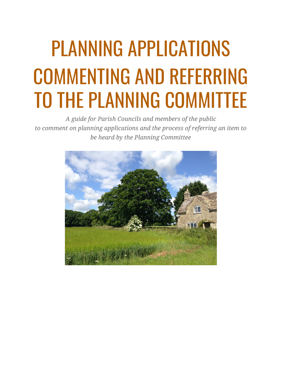# PLANNING APPLICATIONS COMMENTING AND REFERRING TO THE PLANNING COMMITTEE

*A guide for Parish Councils and members of the public to comment on planning applications and the process of referring an item to be heard by the Planning Committee*

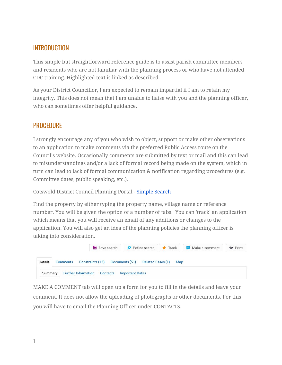## INTRODUCTION

This simple but straightforward reference guide is to assist parish committee members and residents who are not familiar with the planning process or who have not attended CDC training. Highlighted text is linked as described.

As your District Councillor, I am expected to remain impartial if I am to retain my integrity. This does not mean that I am unable to liaise with you and the planning officer, who can sometimes offer helpful guidance.

## **PROCEDURE**

I strongly encourage any of you who wish to object, support or make other observations to an application to make comments via the preferred Public Access route on the Council's website. Occasionally comments are submitted by text or mail and this can lead to misunderstandings and/or a lack of formal record being made on the system, which in turn can lead to lack of formal communication & notification regarding procedures (e.g. Committee dates, public speaking, etc.).

Cotswold District Council Planning Portal - [Simple](https://publicaccess.cotswold.gov.uk/online-applications/) Search

Find the property by either typing the property name, village name or reference number. You will be given the option of a number of tabs. You can 'track' an application which means that you will receive an email of any additions or changes to the application. You will also get an idea of the planning policies the planning officer is taking into consideration.



MAKE A COMMENT tab will open up a form for you to fill in the details and leave your comment. It does not allow the uploading of photographs or other documents. For this you will have to email the Planning Officer under CONTACTS.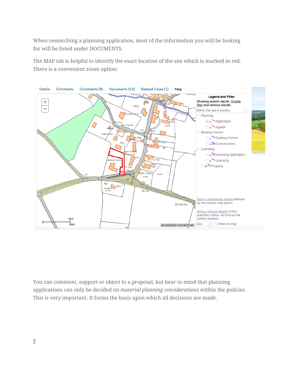When researching a planning application, most of the information you will be looking for will be listed under DOCUMENTS.

The MAP tab is helpful to identify the exact location of the site which is marked in red. There is a convenient zoom option:



You can comment, support or object to a proposal, but bear in mind that planning applications can only be decided on *material planning considerations* within the policies. This is very important. It forms the basis upon which all decisions are made.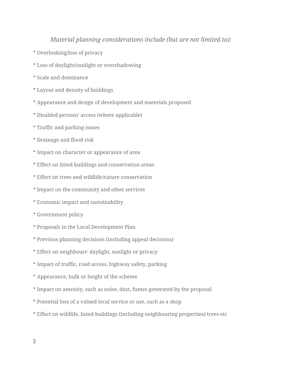#### *Material planning considerations include (but are not limited to):*

- \* Overlooking/loss of privacy
- \* Loss of daylight/sunlight or overshadowing
- \* Scale and dominance
- \* Layout and density of buildings
- \* Appearance and design of development and materials proposed
- \* Disabled persons' access (where applicable)
- \* Traffic and parking issues
- \* Drainage and flood risk
- \* Impact on character or appearance of area
- \* Effect on listed buildings and conservation areas
- \* Effect on trees and wildlife/nature conservation
- \* Impact on the community and other services
- \* Economic impact and sustainability
- \* Government policy
- \* Proposals in the Local Development Plan
- \* Previous planning decisions (including appeal decisions)
- \* Effect on neighbours' daylight, sunlight or privacy
- \* Impact of traffic, road access, highway safety, parking
- \* Appearance, bulk or height of the scheme
- \* Impact on amenity, such as noise, dust, fumes generated by the proposal
- \* Potential loss of a valued local service or use, such as a shop
- \* Effect on wildlife, listed buildings (including neighbouring properties) trees etc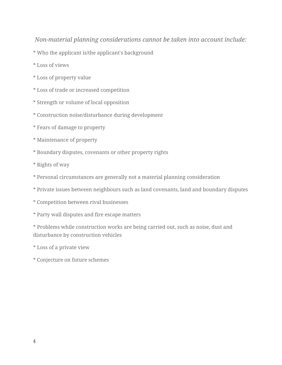### *Non-material planning considerations cannot be taken into account include:*

- \* Who the applicant is/the applicant's background
- \* Loss of views
- \* Loss of property value
- \* Loss of trade or increased competition
- \* Strength or volume of local opposition
- \* Construction noise/disturbance during development
- \* Fears of damage to property
- \* Maintenance of property
- \* Boundary disputes, covenants or other property rights
- \* Rights of way
- \* Personal circumstances are generally not a material planning consideration
- \* Private issues between neighbours such as land covenants, land and boundary disputes
- \* Competition between rival businesses
- \* Party wall disputes and fire escape matters

\* Problems while construction works are being carried out, such as noise, dust and disturbance by construction vehicles

- \* Loss of a private view
- \* Conjecture on future schemes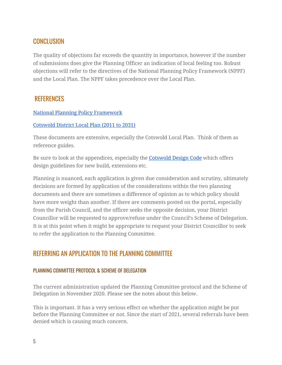## CONCLUSION

The quality of objections far exceeds the quantity in importance, however if the number of submissions does give the Planning Officer an indication of local feeling too. Robust objections will refer to the directives of the National Planning Policy Framework (NPPF) and the Local Plan. The NPPF takes precedence over the Local Plan.

## **REFERENCES**

#### National Planning Policy [Framework](https://assets.publishing.service.gov.uk/government/uploads/system/uploads/attachment_data/file/810197/NPPF_Feb_2019_revised.pdf)

#### [Cotswold](https://cotswold.maps.arcgis.com/apps/MapSeries/index.html?appid=885eb94398bf4819b17bd66d64275e59) District Local Plan (2011 to 2031)

These documents are extensive, especially the Cotswold Local Plan. Think of them as reference guides.

Be sure to look at the appendices, especially the [Cotswold](https://www.cotswold.gov.uk/media/5brn1kaq/appendix-d-cotswold-design-code-cotswold-district-local-plan-2011-to-2031.pdf) Design Code which offers design guidelines for new build, extensions etc.

Planning is nuanced, each application is given due consideration and scrutiny, ultimately decisions are formed by application of the considerations within the two planning documents and there are sometimes a difference of opinion as to which policy should have more weight than another. If there are comments posted on the portal, especially from the Parish Council, and the officer seeks the opposite decision, your District Councillor will be requested to approve/refuse under the Council's Scheme of Delegation. It is at this point when it might be appropriate to request your District Councillor to seek to refer the application to the Planning Committee.

## REFERRING AN APPLICATION TO THE PLANNING COMMITTEE

#### PLANNING COMMITTEE PROTOCOL & SCHEME OF DELEGATION

The current administration updated the Planning Committee protocol and the Scheme of Delegation in November 2020. Please see the notes about this below.

This is important. It has a very serious effect on whether the application might be put before the Planning Committee or not. Since the start of 2021, several referrals have been denied which is causing much concern.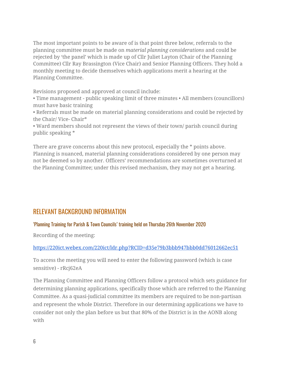The most important points to be aware of is that point three below, referrals to the planning committee must be made on *material planning considerations* and could be rejected by 'the panel' which is made up of Cllr Juliet Layton (Chair of the Planning Committee) Cllr Ray Brassington (Vice Chair) and Senior Planning Officers. They hold a monthly meeting to decide themselves which applications merit a hearing at the Planning Committee.

Revisions proposed and approved at council include:

• Time management - public speaking limit of three minutes • All members (councillors) must have basic training

• Referrals must be made on material planning considerations and could be rejected by the Chair/ Vice- Chair\*

• Ward members should not represent the views of their town/ parish council during public speaking \*

There are grave concerns about this new protocol, especially the \* points above. Planning is nuanced, material planning considerations considered by one person may not be deemed so by another. Officers' recommendations are sometimes overturned at the Planning Committee; under this revised mechanism, they may not get a hearing.

## RELEVANT BACKGROUND INFORMATION

#### 'Planning Training for Parish & Town Councils' training held on Thursday 26th November 2020

Recording of the meeting:

#### <https://220ict.webex.com/220ict/ldr.php?RCID=d35e79b3bbb947bbb0dd76012662ec51>

To access the meeting you will need to enter the following password (which is case sensitive) - rRcj62eA

The Planning Committee and Planning Officers follow a protocol which sets guidance for determining planning applications, specifically those which are referred to the Planning Committee. As a quasi-judicial committee its members are required to be non-partisan and represent the whole District. Therefore in our determining applications we have to consider not only the plan before us but that 80% of the District is in the AONB along with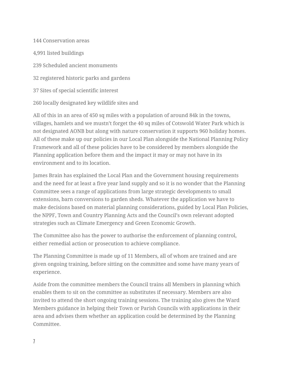Conservation areas 4,991 listed buildings Scheduled ancient monuments registered historic parks and gardens Sites of special scientific interest locally designated key wildlife sites and

All of this in an area of 450 sq miles with a population of around 84k in the towns, villages, hamlets and we mustn't forget the 40 sq miles of Cotswold Water Park which is not designated AONB but along with nature conservation it supports 960 holiday homes. All of these make up our policies in our Local Plan alongside the National Planning Policy Framework and all of these policies have to be considered by members alongside the Planning application before them and the impact it may or may not have in its environment and to its location.

James Brain has explained the Local Plan and the Government housing requirements and the need for at least a five year land supply and so it is no wonder that the Planning Committee sees a range of applications from large strategic developments to small extensions, barn conversions to garden sheds. Whatever the application we have to make decisions based on material planning considerations, guided by Local Plan Policies, the NPPF, Town and Country Planning Acts and the Council's own relevant adopted strategies such as Climate Emergency and Green Economic Growth.

The Committee also has the power to authorise the enforcement of planning control, either remedial action or prosecution to achieve compliance.

The Planning Committee is made up of 11 Members, all of whom are trained and are given ongoing training, before sitting on the committee and some have many years of experience.

Aside from the committee members the Council trains all Members in planning which enables them to sit on the committee as substitutes if necessary. Members are also invited to attend the short ongoing training sessions. The training also gives the Ward Members guidance in helping their Town or Parish Councils with applications in their area and advises them whether an application could be determined by the Planning Committee.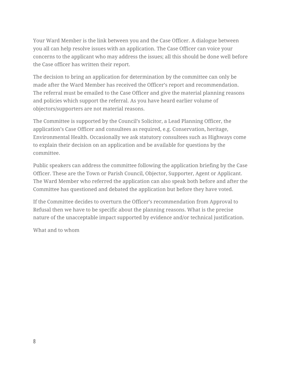Your Ward Member is the link between you and the Case Officer. A dialogue between you all can help resolve issues with an application. The Case Officer can voice your concerns to the applicant who may address the issues; all this should be done well before the Case officer has written their report.

The decision to bring an application for determination by the committee can only be made after the Ward Member has received the Officer's report and recommendation. The referral must be emailed to the Case Officer and give the material planning reasons and policies which support the referral. As you have heard earlier volume of objectors/supporters are not material reasons.

The Committee is supported by the Council's Solicitor, a Lead Planning Officer, the application's Case Officer and consultees as required, e.g. Conservation, heritage, Environmental Health. Occasionally we ask statutory consultees such as Highways come to explain their decision on an application and be available for questions by the committee.

Public speakers can address the committee following the application briefing by the Case Officer. These are the Town or Parish Council, Objector, Supporter, Agent or Applicant. The Ward Member who referred the application can also speak both before and after the Committee has questioned and debated the application but before they have voted.

If the Committee decides to overturn the Officer's recommendation from Approval to Refusal then we have to be specific about the planning reasons. What is the precise nature of the unacceptable impact supported by evidence and/or technical justification.

What and to whom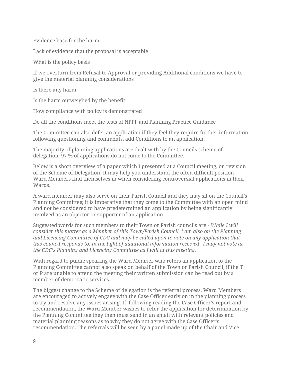Evidence base for the harm

Lack of evidence that the proposal is acceptable

What is the policy basis

If we overturn from Refusal to Approval or providing Additional conditions we have to give the material planning considerations

Is there any harm

Is the harm outweighed by the benefit

How compliance with policy is demonstrated

Do all the conditions meet the tests of NPPF and Planning Practice Guidance

The Committee can also defer an application if they feel they require further information following questioning and comments, add Conditions to an application.

The majority of planning applications are dealt with by the Councils scheme of delegation. 97 % of applications do not come to the Committee.

Below is a short overview of a paper which I presented at a Council meeting, on revision of the Scheme of Delegation. It may help you understand the often difficult position Ward Members find themselves in when considering controversial applications in their Wards.

A ward member may also serve on their Parish Council and they may sit on the Council's Planning Committee; it is imperative that they come to the Committee with an open mind and not be considered to have predetermined an application by being significantly involved as an objector or supporter of an application.

Suggested words for such members to their Town or Parish councils are:- *While I will consider this matter as a Member of this Town/Parish Council, I am also on the Planning and Licencing Committee of CDC and may be called upon to vote on any application that this council responds to. In the light of additional information received , I may not vote at the CDC's Planning and Licencing Committee as I will at this meeting.*

With regard to public speaking the Ward Member who refers an application to the Planning Committee cannot also speak on behalf of the Town or Parish Council, if the T or P are unable to attend the meeting their written submission can be read out by a member of democratic services.

The biggest change to the Scheme of delegation is the referral process. Ward Members are encouraged to actively engage with the Case Officer early on in the planning process to try and resolve any issues arising. If, following reading the Case Officer's report and recommendation, the Ward Member wishes to refer the application for determination by the Planning Committee they then must send in an email with relevant policies and material planning reasons as to why they do not agree with the Case Officer's recommendation. The referrals will be seen by a panel made up of the Chair and Vice